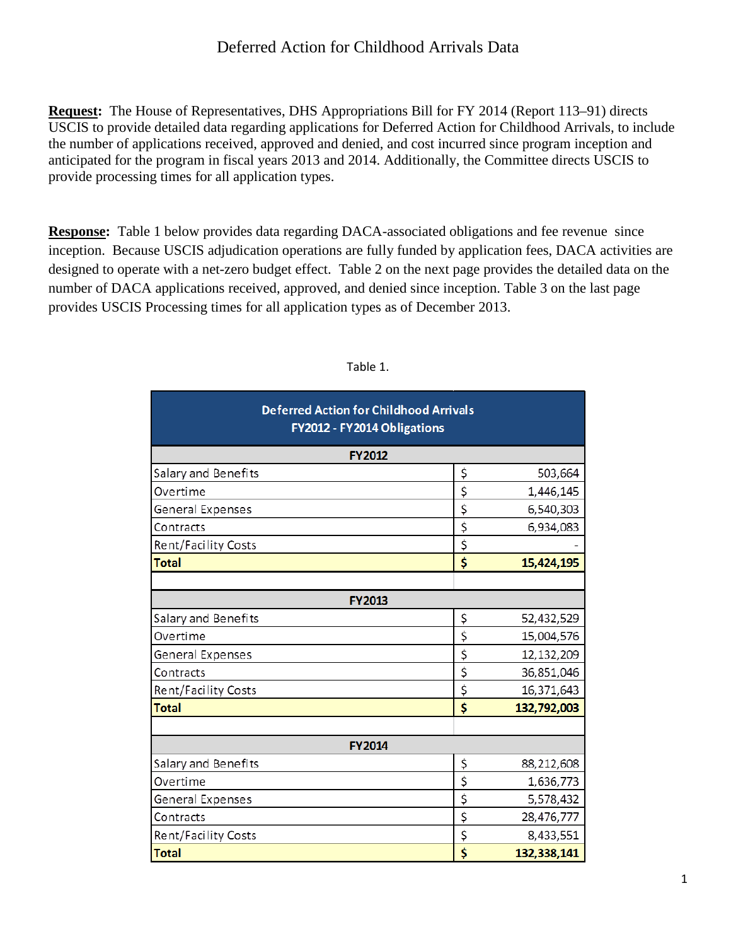## Deferred Action for Childhood Arrivals Data

**Request:** The House of Representatives, DHS Appropriations Bill for FY 2014 (Report 113–91) directs USCIS to provide detailed data regarding applications for Deferred Action for Childhood Arrivals, to include the number of applications received, approved and denied, and cost incurred since program inception and anticipated for the program in fiscal years 2013 and 2014. Additionally, the Committee directs USCIS to provide processing times for all application types.

**Response:** Table 1 below provides data regarding DACA-associated obligations and fee revenue since inception. Because USCIS adjudication operations are fully funded by application fees, DACA activities are designed to operate with a net-zero budget effect. Table 2 on the next page provides the detailed data on the number of DACA applications received, approved, and denied since inception. Table 3 on the last page provides USCIS Processing times for all application types as of December 2013.

| <b>Deferred Action for Childhood Arrivals</b><br>FY2012 - FY2014 Obligations<br><b>FY2012</b> |                                      |             |  |  |  |  |  |
|-----------------------------------------------------------------------------------------------|--------------------------------------|-------------|--|--|--|--|--|
|                                                                                               |                                      |             |  |  |  |  |  |
| Overtime                                                                                      | \$                                   | 1,446,145   |  |  |  |  |  |
| General Expenses                                                                              | \$                                   | 6,540,303   |  |  |  |  |  |
| Contracts                                                                                     | \$                                   | 6,934,083   |  |  |  |  |  |
| Rent/Facility Costs                                                                           | \$                                   |             |  |  |  |  |  |
| <b>Total</b>                                                                                  | \$                                   | 15,424,195  |  |  |  |  |  |
|                                                                                               |                                      |             |  |  |  |  |  |
|                                                                                               | <b>FY2013</b>                        |             |  |  |  |  |  |
| Salary and Benefits                                                                           | \$                                   | 52,432,529  |  |  |  |  |  |
| Overtime                                                                                      | \$                                   | 15,004,576  |  |  |  |  |  |
| General Expenses                                                                              | \$                                   | 12,132,209  |  |  |  |  |  |
| Contracts                                                                                     | $\overline{\xi}$                     | 36,851,046  |  |  |  |  |  |
| Rent/Facility Costs                                                                           | $\overline{\xi}$                     | 16,371,643  |  |  |  |  |  |
| <b>Total</b>                                                                                  | \$                                   | 132,792,003 |  |  |  |  |  |
|                                                                                               |                                      |             |  |  |  |  |  |
|                                                                                               | <b>FY2014</b>                        |             |  |  |  |  |  |
| Salary and Benefits                                                                           | \$                                   | 88,212,608  |  |  |  |  |  |
| Overtime                                                                                      | \$                                   | 1,636,773   |  |  |  |  |  |
| General Expenses                                                                              | \$                                   | 5,578,432   |  |  |  |  |  |
| Contracts                                                                                     | \$                                   | 28,476,777  |  |  |  |  |  |
| Rent/Facility Costs                                                                           | \$                                   | 8,433,551   |  |  |  |  |  |
| <b>Total</b>                                                                                  | $\overline{\boldsymbol{\mathsf{s}}}$ | 132,338,141 |  |  |  |  |  |

## Table 1.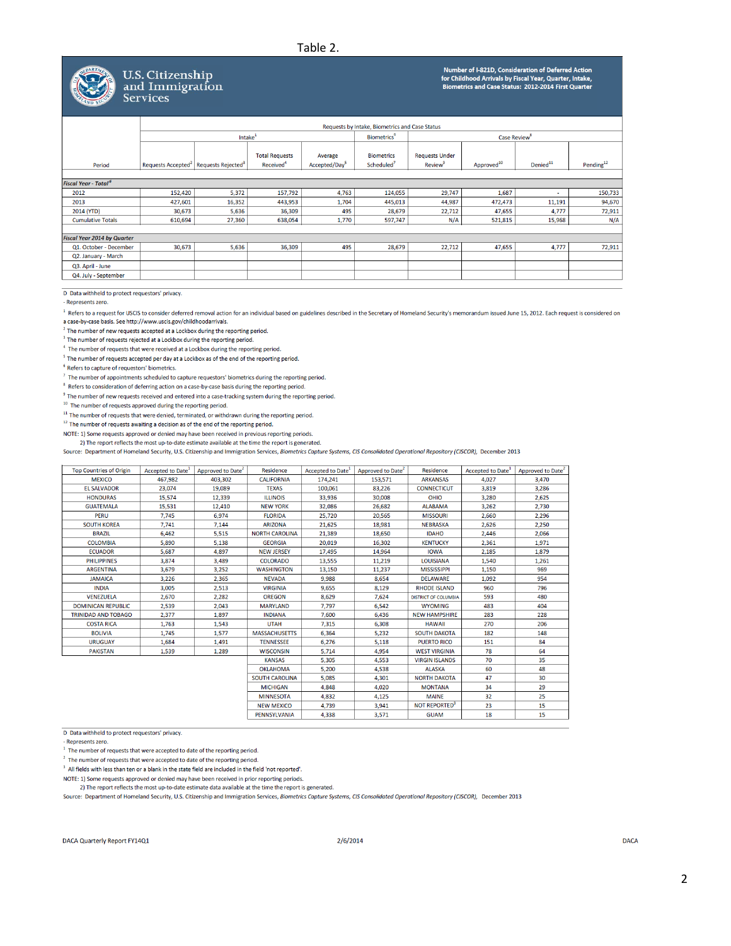## Table 2.



## U.S. Citizenship and Immigration **Services**

Number of I-821D, Consideration of Deferred Action<br>for Childhood Arrivals by Fiscal Year, Quarter, Intake,<br>Biometrics and Case Status: 2012-2014 First Quarter

|                                        |                                                               |        |                                                |                                      |                                             | Requests by Intake, Biometrics and Case Status     |                        |                      |                       |  |
|----------------------------------------|---------------------------------------------------------------|--------|------------------------------------------------|--------------------------------------|---------------------------------------------|----------------------------------------------------|------------------------|----------------------|-----------------------|--|
|                                        | Intake <sup>1</sup>                                           |        |                                                | <b>Biometrics</b> <sup>6</sup>       | Case Review <sup>8</sup>                    |                                                    |                        |                      |                       |  |
| Period                                 | Requests Accepted <sup>2</sup> Requests Rejected <sup>3</sup> |        | <b>Total Requests</b><br>Received <sup>4</sup> | Average<br>Accepted/Day <sup>5</sup> | <b>Biometrics</b><br>Scheduled <sup>7</sup> | <b>Requests Under</b><br><b>Review<sup>9</sup></b> | Approved <sup>10</sup> | Denied <sup>11</sup> | Pending <sup>12</sup> |  |
| <b>Fiscal Year - Total<sup>6</sup></b> |                                                               |        |                                                |                                      |                                             |                                                    |                        |                      |                       |  |
| 2012                                   | 152,420                                                       | 5,372  | 157,792                                        | 4,763                                | 124,055                                     | 29,747                                             | 1,687                  | ٠                    | 150,733               |  |
| 2013                                   | 427,601                                                       | 16,352 | 443,953                                        | 1,704                                | 445,013                                     | 44,987                                             | 472,473                | 11,191               | 94,670                |  |
| 2014 (YTD)                             | 30,673                                                        | 5,636  | 36,309                                         | 495                                  | 28,679                                      | 22,712                                             | 47,655                 | 4,777                | 72,911                |  |
| <b>Cumulative Totals</b>               | 610,694                                                       | 27,360 | 638,054                                        | 1,770                                | 597,747                                     | N/A                                                | 521,815                | 15,968               | N/A                   |  |
|                                        |                                                               |        |                                                |                                      |                                             |                                                    |                        |                      |                       |  |
| <b>Fiscal Year 2014 by Quarter</b>     |                                                               |        |                                                |                                      |                                             |                                                    |                        |                      |                       |  |
| Q1. October - December                 | 30,673                                                        | 5,636  | 36,309                                         | 495                                  | 28,679                                      | 22,712                                             | 47,655                 | 4,777                | 72,911                |  |
| Q2. January - March                    |                                                               |        |                                                |                                      |                                             |                                                    |                        |                      |                       |  |
| Q3. April - June                       |                                                               |        |                                                |                                      |                                             |                                                    |                        |                      |                       |  |
| Q4. July - September                   |                                                               |        |                                                |                                      |                                             |                                                    |                        |                      |                       |  |
|                                        |                                                               |        |                                                |                                      |                                             |                                                    |                        |                      |                       |  |

D Data withheld to protect requestors' privacy.

Represents zero

<sup>1</sup> Refers to a request for USCIS to consider deferred removal action for an individual based on guidelines described in the Secretary of Homeland Security's memorandum issued June 15, 2012. Each request is considered on a case-by-case basis. See http://www.uscis.gov/childhoodarrivals.

 $2$  The number of new requests accepted at a Lockbox during the reporting period.

 $3$  The number of requests rejected at a Lockbox during the reporting period.

 $4$  The number of requests that were received at a Lockbox during the reporting period.

<sup>5</sup> The number of requests accepted per day at a Lockbox as of the end of the reporting period.

 $6$  Refers to capture of requestors' biometrics.

 $7$  The number of appointments scheduled to capture requestors' biometrics during the reporting period.

 $8$  Refers to consideration of deferring action on a case-by-case basis during the reporting period.

 $9$  The number of new requests received and entered into a case-tracking system during the reporting period.

 $10$  The number of requests approved during the reporting period.

 $11$  The number of requests that were denied, terminated, or withdrawn during the reporting period.

 $12$  The number of requests awaiting a decision as of the end of the reporting period.

NOTE: 1) Some requests approved or denied may have been received in previous reporting periods.

2) The report reflects the most up-to-date estimate available at the time the report is generated.

Source: Department of Homeland Security, U.S. Citizenship and Immigration Services, Biometrics Capture Systems, CIS Consolidated Operational Repository (CISCOR), December 2013

| <b>Top Countries of Origin</b> | Accepted to Date <sup>1</sup> | Approved to Date <sup>2</sup> | Residence             | Accepted to Date <sup>1</sup> | Approved to Date <sup>2</sup> | <b>Residence</b>            | Accepted to Date <sup>1</sup> | Approved to Date <sup>2</sup> |
|--------------------------------|-------------------------------|-------------------------------|-----------------------|-------------------------------|-------------------------------|-----------------------------|-------------------------------|-------------------------------|
| <b>MEXICO</b>                  | 467.982                       | 403,302                       | <b>CALIFORNIA</b>     | 174,241                       | 153,571                       | <b>ARKANSAS</b>             | 4,027                         | 3,470                         |
| <b>EL SALVADOR</b>             | 23,074                        | 19,089                        | <b>TEXAS</b>          | 100,061                       | 83,226                        | <b>CONNECTICUT</b>          | 3,819                         | 3,286                         |
| <b>HONDURAS</b>                | 15,574                        | 12,339                        | <b>ILLINOIS</b>       | 33,936                        | 30,008                        | <b>OHIO</b>                 | 3,280                         | 2,625                         |
| <b>GUATEMALA</b>               | 15.531                        | 12,410                        | <b>NEW YORK</b>       | 32.086                        | 26,682                        | <b>ALABAMA</b>              | 3.262                         | 2.730                         |
| <b>PERU</b>                    | 7,745                         | 6,974                         | <b>FLORIDA</b>        | 25,720                        | 20,565                        | <b>MISSOURI</b>             | 2,660                         | 2,296                         |
| <b>SOUTH KOREA</b>             | 7.741                         | 7.144                         | <b>ARIZONA</b>        | 21.625                        | 18.981                        | <b>NEBRASKA</b>             | 2.626                         | 2.250                         |
| <b>BRAZIL</b>                  | 6,462                         | 5,515                         | <b>NORTH CAROLINA</b> | 21,389                        | 18,650                        | <b>IDAHO</b>                | 2,446                         | 2,066                         |
| <b>COLOMBIA</b>                | 5.890                         | 5,138                         | <b>GEORGIA</b>        | 20,019                        | 16,302                        | <b>KENTUCKY</b>             | 2,361                         | 1,971                         |
| <b>ECUADOR</b>                 | 5.687                         | 4,897                         | <b>NEW JERSEY</b>     | 17,495                        | 14.964                        | <b>IOWA</b>                 | 2.185                         | 1.879                         |
| <b>PHILIPPINES</b>             | 3.874                         | 3,489                         | <b>COLORADO</b>       | 13,555                        | 11,219                        | <b>LOUISIANA</b>            | 1,540                         | 1,261                         |
| <b>ARGENTINA</b>               | 3.679                         | 3.252                         | <b>WASHINGTON</b>     | 13.150                        | 11.237                        | <b>MISSISSIPPI</b>          | 1.150                         | 969                           |
| <b>JAMAICA</b>                 | 3,226                         | 2,365                         | <b>NEVADA</b>         | 9,988                         | 8,654                         | <b>DELAWARE</b>             | 1,092                         | 954                           |
| <b>INDIA</b>                   | 3.005                         | 2.513                         | <b>VIRGINIA</b>       | 9.655                         | 8.129                         | <b>RHODE ISLAND</b>         | 960                           | 796                           |
| <b>VENEZUELA</b>               | 2,670                         | 2,282                         | <b>OREGON</b>         | 8,629                         | 7,624                         | <b>DISTRICT OF COLUMBIA</b> | 593                           | 480                           |
| <b>DOMINICAN REPUBLIC</b>      | 2.539                         | 2.043                         | <b>MARYLAND</b>       | 7.797                         | 6,542                         | <b>WYOMING</b>              | 483                           | 404                           |
| <b>TRINIDAD AND TOBAGO</b>     | 2.377                         | 1.897                         | <b>INDIANA</b>        | 7,600                         | 6.436                         | <b>NEW HAMPSHIRE</b>        | 283                           | 228                           |
| <b>COSTA RICA</b>              | 1.763                         | 1,543                         | <b>UTAH</b>           | 7.315                         | 6.308                         | <b>HAWAII</b>               | 270                           | 206                           |
| <b>BOLIVIA</b>                 | 1.745                         | 1.577                         | <b>MASSACHUSETTS</b>  | 6,364                         | 5,232                         | <b>SOUTH DAKOTA</b>         | 182                           | 148                           |
| <b>URUGUAY</b>                 | 1,684                         | 1,491                         | <b>TENNESSEE</b>      | 6,276                         | 5,118                         | <b>PUERTO RICO</b>          | 151                           | 84                            |
| <b>PAKISTAN</b>                | 1,539                         | 1,289                         | <b>WISCONSIN</b>      | 5.714                         | 4.954                         | <b>WEST VIRGINIA</b>        | 78                            | 64                            |
|                                |                               |                               | <b>KANSAS</b>         | 5,305                         | 4,553                         | <b>VIRGIN ISLANDS</b>       | 70                            | 35                            |
|                                |                               |                               | <b>OKLAHOMA</b>       | 5.200                         | 4.538                         | <b>ALASKA</b>               | 60                            | 48                            |
|                                |                               |                               | <b>SOUTH CAROLINA</b> | 5.085                         | 4.301                         | <b>NORTH DAKOTA</b>         | 47                            | 30                            |
|                                |                               |                               | <b>MICHIGAN</b>       | 4,848                         | 4,020                         | <b>MONTANA</b>              | 34                            | 29                            |
|                                |                               | <b>MINNESOTA</b>              | 4,832                 | 4.125                         | <b>MAINE</b>                  | 32                          | 25                            |                               |
|                                |                               |                               | <b>NEW MEXICO</b>     | 4,739                         | 3,941                         | NOT REPORTED <sup>3</sup>   | 23                            | 15                            |
|                                |                               |                               | PENNSYLVANIA          | 4.338                         | 3.571                         | <b>GUAM</b>                 | 18                            | 15                            |

D Data withheld to protect requestors' privacy.

- Represents zero.

 $^1\,$  The number of requests that were accepted to date of the reporting period.

 $2$  The number of requests that were accepted to date of the reporting period.

 $3$  All fields with less than ten or a blank in the state field are included in the field 'not reported'.

NOTE: 1) Some requests approved or denied may have been received in prior reporting periods.

2) The report reflects the most up-to-date estimate data available at the time the report is generated.

Source: Department of Homeland Security, U.S. Citizenship and Immigration Services, Biometrics Capture Systems, CIS Consolidated Operational Repository (CISCOR), December 2013